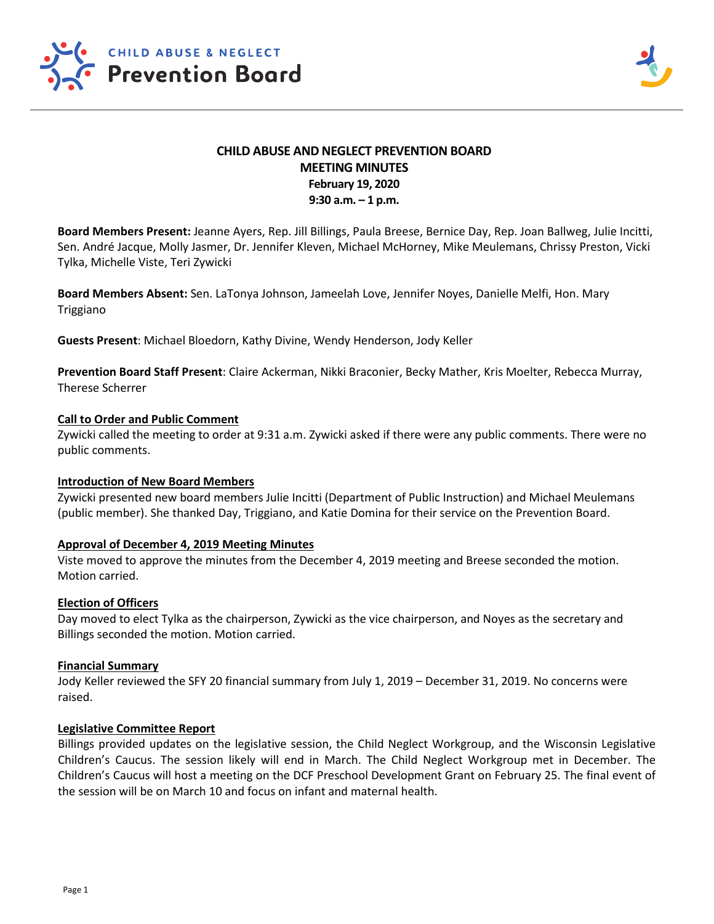

# **CHILD ABUSE AND NEGLECT PREVENTION BOARD MEETING MINUTES February 19, 2020 9:30 a.m. – 1 p.m.**

**Board Members Present:** Jeanne Ayers, Rep. Jill Billings, Paula Breese, Bernice Day, Rep. Joan Ballweg, Julie Incitti, Sen. André Jacque, Molly Jasmer, Dr. Jennifer Kleven, Michael McHorney, Mike Meulemans, Chrissy Preston, Vicki Tylka, Michelle Viste, Teri Zywicki

**Board Members Absent:** Sen. LaTonya Johnson, Jameelah Love, Jennifer Noyes, Danielle Melfi, Hon. Mary Triggiano

**Guests Present**: Michael Bloedorn, Kathy Divine, Wendy Henderson, Jody Keller

**Prevention Board Staff Present**: Claire Ackerman, Nikki Braconier, Becky Mather, Kris Moelter, Rebecca Murray, Therese Scherrer

### **Call to Order and Public Comment**

Zywicki called the meeting to order at 9:31 a.m. Zywicki asked if there were any public comments. There were no public comments.

### **Introduction of New Board Members**

Zywicki presented new board members Julie Incitti (Department of Public Instruction) and Michael Meulemans (public member). She thanked Day, Triggiano, and Katie Domina for their service on the Prevention Board.

### **Approval of December 4, 2019 Meeting Minutes**

Viste moved to approve the minutes from the December 4, 2019 meeting and Breese seconded the motion. Motion carried.

### **Election of Officers**

Day moved to elect Tylka as the chairperson, Zywicki as the vice chairperson, and Noyes as the secretary and Billings seconded the motion. Motion carried.

### **Financial Summary**

Jody Keller reviewed the SFY 20 financial summary from July 1, 2019 – December 31, 2019. No concerns were raised.

### **Legislative Committee Report**

Billings provided updates on the legislative session, the Child Neglect Workgroup, and the Wisconsin Legislative Children's Caucus. The session likely will end in March. The Child Neglect Workgroup met in December. The Children's Caucus will host a meeting on the DCF Preschool Development Grant on February 25. The final event of the session will be on March 10 and focus on infant and maternal health.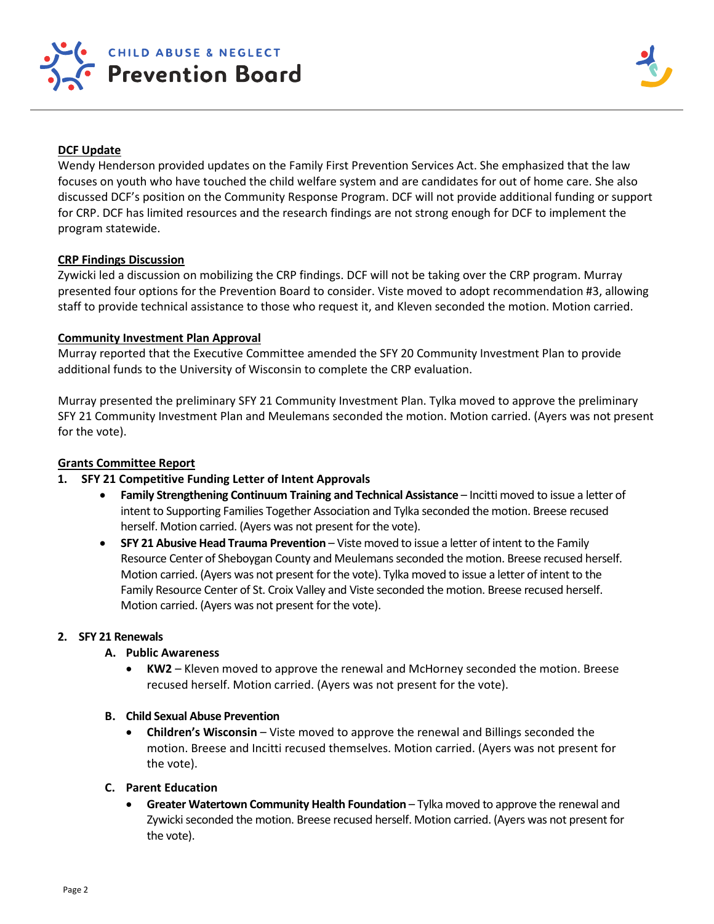

# **DCF Update**

Wendy Henderson provided updates on the Family First Prevention Services Act. She emphasized that the law focuses on youth who have touched the child welfare system and are candidates for out of home care. She also discussed DCF's position on the Community Response Program. DCF will not provide additional funding or support for CRP. DCF has limited resources and the research findings are not strong enough for DCF to implement the program statewide.

### **CRP Findings Discussion**

Zywicki led a discussion on mobilizing the CRP findings. DCF will not be taking over the CRP program. Murray presented four options for the Prevention Board to consider. Viste moved to adopt recommendation #3, allowing staff to provide technical assistance to those who request it, and Kleven seconded the motion. Motion carried.

### **Community Investment Plan Approval**

Murray reported that the Executive Committee amended the SFY 20 Community Investment Plan to provide additional funds to the University of Wisconsin to complete the CRP evaluation.

Murray presented the preliminary SFY 21 Community Investment Plan. Tylka moved to approve the preliminary SFY 21 Community Investment Plan and Meulemans seconded the motion. Motion carried. (Ayers was not present for the vote).

# **Grants Committee Report**

# **1. SFY 21 Competitive Funding Letter of Intent Approvals**

- **Family Strengthening Continuum Training and Technical Assistance**  Incitti moved to issue a letter of intent to Supporting Families Together Association and Tylka seconded the motion. Breese recused herself. Motion carried. (Ayers was not present for the vote).
- **SFY 21 Abusive Head Trauma Prevention**  Viste moved to issue a letter of intent to the Family Resource Center of Sheboygan County and Meulemans seconded the motion. Breese recused herself. Motion carried. (Ayers was not present for the vote). Tylka moved to issue a letter of intent to the Family Resource Center of St. Croix Valley and Viste seconded the motion. Breese recused herself. Motion carried. (Ayers was not present for the vote).

### **2. SFY 21 Renewals**

# **A. Public Awareness**

- **KW2** Kleven moved to approve the renewal and McHorney seconded the motion. Breese recused herself. Motion carried. (Ayers was not present for the vote).
- **B. Child Sexual Abuse Prevention**
	- **Children's Wisconsin**  Viste moved to approve the renewal and Billings seconded the motion. Breese and Incitti recused themselves. Motion carried. (Ayers was not present for the vote).

### **C. Parent Education**

**• Greater Watertown Community Health Foundation** – Tylka moved to approve the renewal and Zywicki seconded the motion. Breese recused herself. Motion carried. (Ayers was not present for the vote).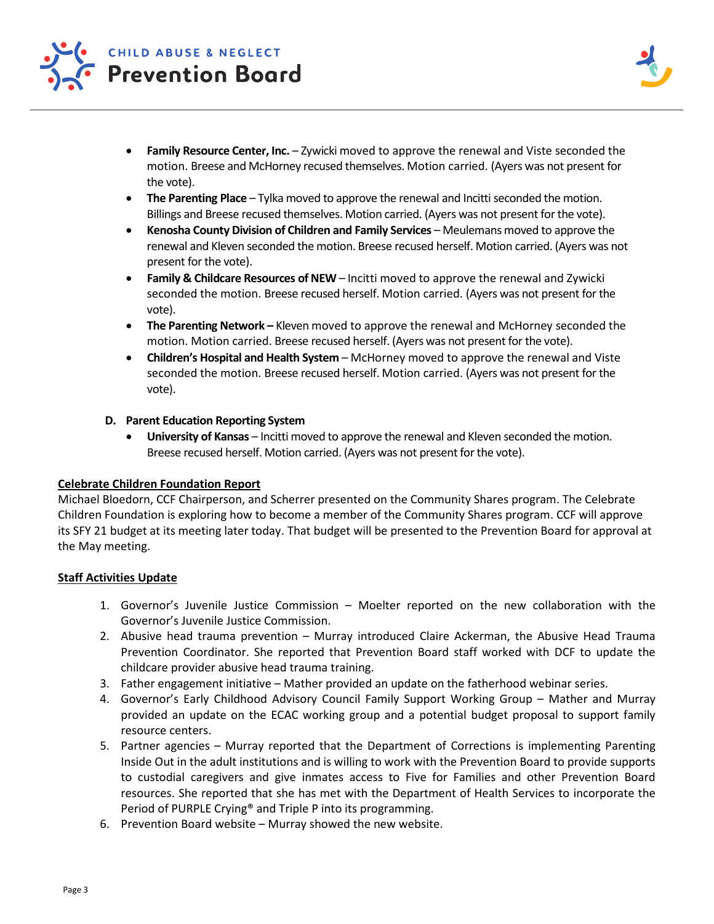

- **Family Resource Center, Inc.** Zywicki moved to approve the renewal and Viste seconded the motion. Breese and McHorney recused themselves. Motion carried. (Ayers was not present for the vote).
- The Parenting Place Tylka moved to approve the renewal and Incitti seconded the motion. Billings and Breese recused themselves. Motion carried. (Ayers was not present for the vote).
- **Kenosha County Division of Children and Family Services**  Meulemans moved to approve the renewal and Kleven seconded the motion. Breese recused herself. Motion carried. (Ayers was not present for the vote).
- **Family & Childcare Resources of NEW**  Incitti moved to approve the renewal and Zywicki seconded the motion. Breese recused herself. Motion carried. (Ayers was not present for the vote).
- **The Parenting Network** *–* Kleven moved to approve the renewal and McHorney seconded the motion. Motion carried. Breese recused herself. (Ayers was not present for the vote).
- **Children's Hospital and Health System** McHorney moved to approve the renewal and Viste seconded the motion. Breese recused herself. Motion carried. (Ayers was not present for the vote).

# **D. Parent Education Reporting System**

• **University of Kansas** – Incitti moved to approve the renewal and Kleven seconded the motion. Breese recused herself. Motion carried. (Ayers was not present for the vote).

# **Celebrate Children Foundation Report**

Michael Bloedorn, CCF Chairperson, and Scherrer presented on the Community Shares program. The Celebrate Children Foundation is exploring how to become a member of the Community Shares program. CCF will approve its SFY 21 budget at its meeting later today. That budget will be presented to the Prevention Board for approval at the May meeting.

# **Staff Activities Update**

- 1. Governor's Juvenile Justice Commission Moelter reported on the new collaboration with the Governor's Juvenile Justice Commission.
- 2. Abusive head trauma prevention Murray introduced Claire Ackerman, the Abusive Head Trauma Prevention Coordinator. She reported that Prevention Board staff worked with DCF to update the childcare provider abusive head trauma training.
- 3. Father engagement initiative Mather provided an update on the fatherhood webinar series.
- 4. Governor's Early Childhood Advisory Council Family Support Working Group Mather and Murray provided an update on the ECAC working group and a potential budget proposal to support family resource centers.
- 5. Partner agencies Murray reported that the Department of Corrections is implementing Parenting Inside Out in the adult institutions and is willing to work with the Prevention Board to provide supports to custodial caregivers and give inmates access to Five for Families and other Prevention Board resources. She reported that she has met with the Department of Health Services to incorporate the Period of PURPLE Crying® and Triple P into its programming.
- 6. Prevention Board website Murray showed the new website.